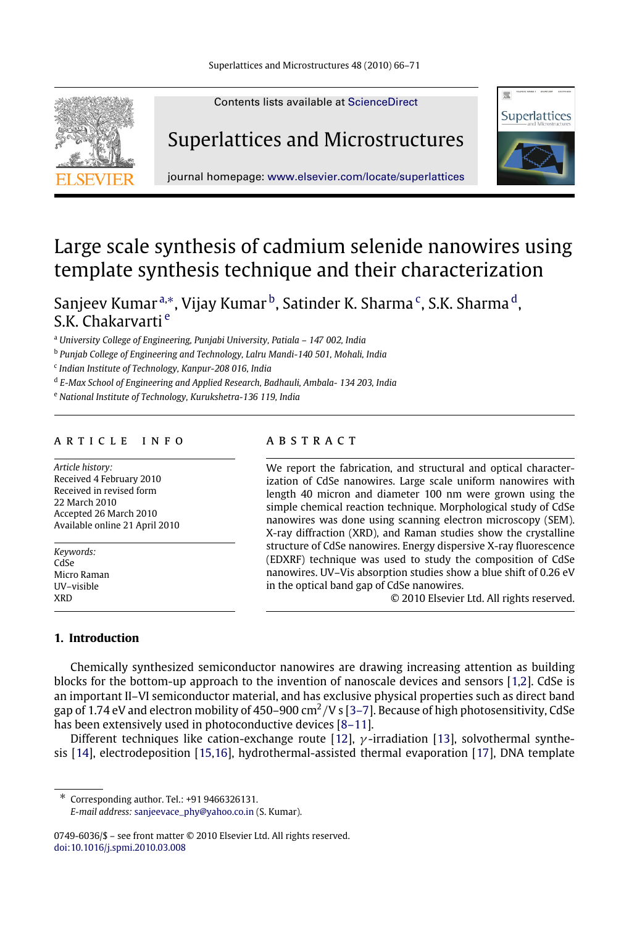

Contents lists available at [ScienceDirect](http://www.elsevier.com/locate/superlattices)

## Superlattices and Microstructures



journal homepage: [www.elsevier.com/locate/superlattices](http://www.elsevier.com/locate/superlattices)

# Large scale synthesis of cadmium selenide nanowires using template synthesis technique and their characterization

Sanjeev Kumar <sup>[a,](#page-0-0)</sup>\*, Vijay Kumar <sup>[b](#page-0-2)</sup>, Satinder K. Sharma <sup>[c](#page-0-3)</sup>, S.K. Sharma <sup>[d](#page-0-4)</sup>, S.K. Chakarvarti [e](#page-0-5)

<span id="page-0-0"></span><sup>a</sup> *University College of Engineering, Punjabi University, Patiala – 147 002, India*

<span id="page-0-2"></span>b *Punjab College of Engineering and Technology, Lalru Mandi-140 501, Mohali, India*

<span id="page-0-3"></span>c *Indian Institute of Technology, Kanpur-208 016, India*

<span id="page-0-4"></span>d *E-Max School of Engineering and Applied Research, Badhauli, Ambala- 134 203, India*

<span id="page-0-5"></span><sup>e</sup> *National Institute of Technology, Kurukshetra-136 119, India*

### a r t i c l e i n f o

*Article history:* Received 4 February 2010 Received in revised form 22 March 2010 Accepted 26 March 2010 Available online 21 April 2010

*Keywords:* CdSe Micro Raman UV–visible XRD

## a b s t r a c t

We report the fabrication, and structural and optical characterization of CdSe nanowires. Large scale uniform nanowires with length 40 micron and diameter 100 nm were grown using the simple chemical reaction technique. Morphological study of CdSe nanowires was done using scanning electron microscopy (SEM). X-ray diffraction (XRD), and Raman studies show the crystalline structure of CdSe nanowires. Energy dispersive X-ray fluorescence (EDXRF) technique was used to study the composition of CdSe nanowires. UV–Vis absorption studies show a blue shift of 0.26 eV in the optical band gap of CdSe nanowires.

© 2010 Elsevier Ltd. All rights reserved.

### **1. Introduction**

Chemically synthesized semiconductor nanowires are drawing increasing attention as building blocks for the bottom-up approach to the invention of nanoscale devices and sensors [\[1](#page-4-0)[,2\]](#page-4-1). CdSe is an important II–VI semiconductor material, and has exclusive physical properties such as direct band gap of 1.74 eV and electron mobility of 450–900 cm $^2$ /V s [\[3–7\]](#page-4-2). Because of high photosensitivity, CdSe has been extensively used in photoconductive devices [\[8–11\]](#page-4-3).

Different techniques like cation-exchange route [\[12\]](#page-4-4),  $\gamma$ -irradiation [\[13\]](#page-4-5), solvothermal synthesis [\[14\]](#page-4-6), electrodeposition [\[15,](#page-4-7)[16\]](#page-4-8), hydrothermal-assisted thermal evaporation [\[17\]](#page-5-0), DNA template

<span id="page-0-1"></span>∗ Corresponding author. Tel.: +91 9466326131. *E-mail address:* [sanjeevace\\_phy@yahoo.co.in](mailto:sanjeevace_phy@yahoo.co.in) (S. Kumar).

0749-6036/\$ – see front matter © 2010 Elsevier Ltd. All rights reserved. [doi:10.1016/j.spmi.2010.03.008](http://dx.doi.org/10.1016/j.spmi.2010.03.008)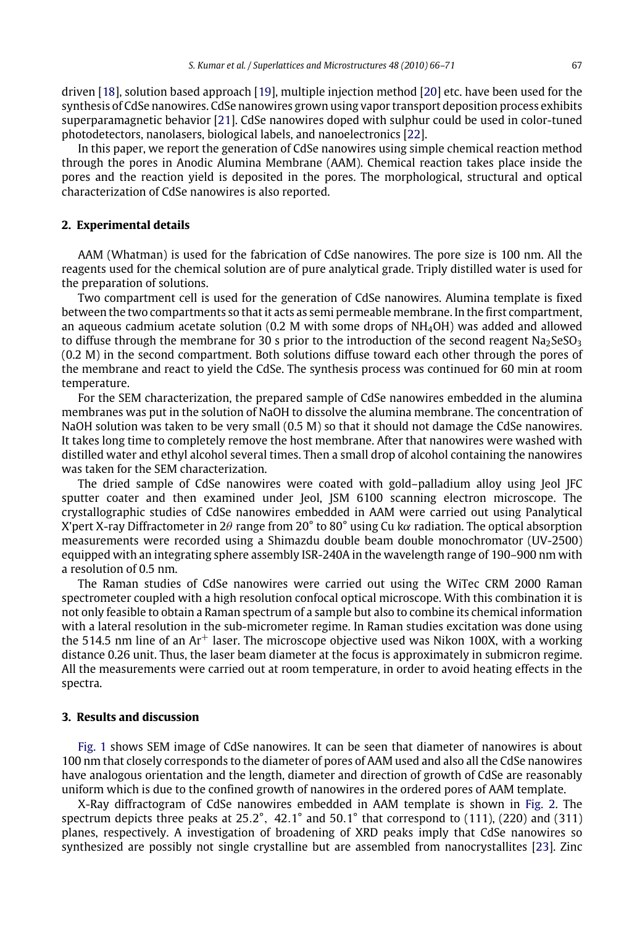driven [\[18\]](#page-5-1), solution based approach [\[19\]](#page-5-2), multiple injection method [\[20\]](#page-5-3) etc. have been used for the synthesis of CdSe nanowires. CdSe nanowires grown using vapor transport deposition process exhibits superparamagnetic behavior [\[21\]](#page-5-4). CdSe nanowires doped with sulphur could be used in color-tuned photodetectors, nanolasers, biological labels, and nanoelectronics [\[22\]](#page-5-5).

In this paper, we report the generation of CdSe nanowires using simple chemical reaction method through the pores in Anodic Alumina Membrane (AAM). Chemical reaction takes place inside the pores and the reaction yield is deposited in the pores. The morphological, structural and optical characterization of CdSe nanowires is also reported.

#### **2. Experimental details**

AAM (Whatman) is used for the fabrication of CdSe nanowires. The pore size is 100 nm. All the reagents used for the chemical solution are of pure analytical grade. Triply distilled water is used for the preparation of solutions.

Two compartment cell is used for the generation of CdSe nanowires. Alumina template is fixed between the two compartments so that it acts as semi permeable membrane. In the first compartment, an aqueous cadmium acetate solution (0.2 M with some drops of  $NH<sub>4</sub>OH$ ) was added and allowed to diffuse through the membrane for 30 s prior to the introduction of the second reagent Na<sub>2</sub>SeSO<sub>3</sub> (0.2 M) in the second compartment. Both solutions diffuse toward each other through the pores of the membrane and react to yield the CdSe. The synthesis process was continued for 60 min at room temperature.

For the SEM characterization, the prepared sample of CdSe nanowires embedded in the alumina membranes was put in the solution of NaOH to dissolve the alumina membrane. The concentration of NaOH solution was taken to be very small (0.5 M) so that it should not damage the CdSe nanowires. It takes long time to completely remove the host membrane. After that nanowires were washed with distilled water and ethyl alcohol several times. Then a small drop of alcohol containing the nanowires was taken for the SEM characterization.

The dried sample of CdSe nanowires were coated with gold–palladium alloy using Jeol JFC sputter coater and then examined under Jeol, JSM 6100 scanning electron microscope. The crystallographic studies of CdSe nanowires embedded in AAM were carried out using Panalytical X'pert X-ray Diffractometer in 2θ range from 20° to 80° using Cu kα radiation. The optical absorption measurements were recorded using a Shimazdu double beam double monochromator (UV-2500) equipped with an integrating sphere assembly ISR-240A in the wavelength range of 190–900 nm with a resolution of 0.5 nm.

The Raman studies of CdSe nanowires were carried out using the WiTec CRM 2000 Raman spectrometer coupled with a high resolution confocal optical microscope. With this combination it is not only feasible to obtain a Raman spectrum of a sample but also to combine its chemical information with a lateral resolution in the sub-micrometer regime. In Raman studies excitation was done using the 514.5 nm line of an  $Ar^+$  laser. The microscope objective used was Nikon 100X, with a working distance 0.26 unit. Thus, the laser beam diameter at the focus is approximately in submicron regime. All the measurements were carried out at room temperature, in order to avoid heating effects in the spectra.

#### **3. Results and discussion**

[Fig. 1](#page-2-0) shows SEM image of CdSe nanowires. It can be seen that diameter of nanowires is about 100 nm that closely corresponds to the diameter of pores of AAM used and also all the CdSe nanowires have analogous orientation and the length, diameter and direction of growth of CdSe are reasonably uniform which is due to the confined growth of nanowires in the ordered pores of AAM template.

X-Ray diffractogram of CdSe nanowires embedded in AAM template is shown in [Fig. 2.](#page-2-1) The spectrum depicts three peaks at 25.2°, 42.1° and 50.1° that correspond to (111), (220) and (311) planes, respectively. A investigation of broadening of XRD peaks imply that CdSe nanowires so synthesized are possibly not single crystalline but are assembled from nanocrystallites [\[23\]](#page-5-6). Zinc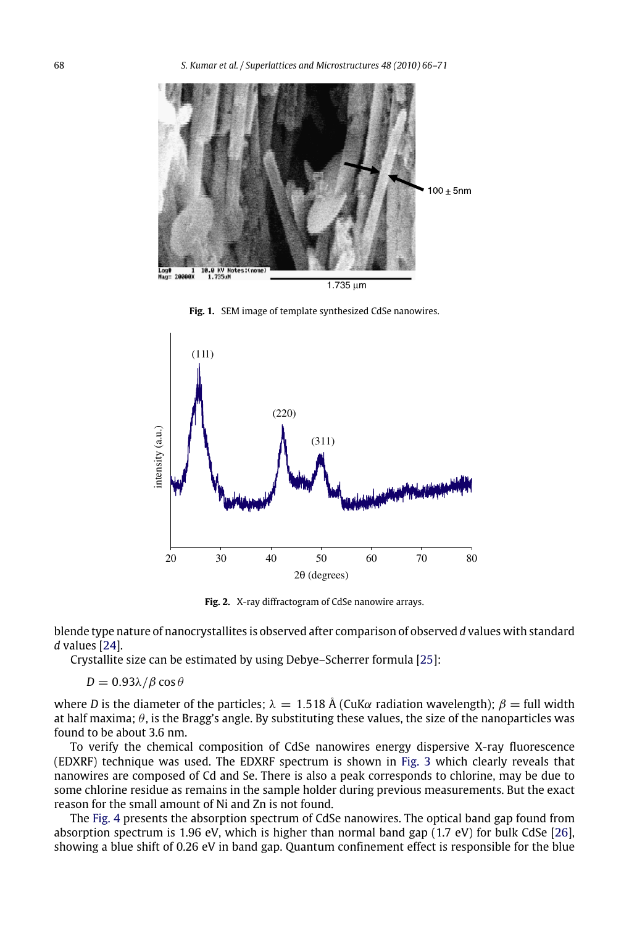<span id="page-2-0"></span>

**Fig. 1.** SEM image of template synthesized CdSe nanowires.

<span id="page-2-1"></span>

**Fig. 2.** X-ray diffractogram of CdSe nanowire arrays.

blende type nature of nanocrystallites is observed after comparison of observed *d* values with standard *d* values [\[24\]](#page-5-7).

Crystallite size can be estimated by using Debye–Scherrer formula [\[25\]](#page-5-8):

 $D = 0.93λ/\beta \cos \theta$ 

where *D* is the diameter of the particles;  $\lambda = 1.518 \text{ Å}$  (CuK $\alpha$  radiation wavelength);  $\beta = \text{full}$  width at half maxima;  $\theta$ , is the Bragg's angle. By substituting these values, the size of the nanoparticles was found to be about 3.6 nm.

To verify the chemical composition of CdSe nanowires energy dispersive X-ray fluorescence (EDXRF) technique was used. The EDXRF spectrum is shown in [Fig. 3](#page-3-0) which clearly reveals that nanowires are composed of Cd and Se. There is also a peak corresponds to chlorine, may be due to some chlorine residue as remains in the sample holder during previous measurements. But the exact reason for the small amount of Ni and Zn is not found.

The [Fig. 4](#page-3-1) presents the absorption spectrum of CdSe nanowires. The optical band gap found from absorption spectrum is 1.96 eV, which is higher than normal band gap (1.7 eV) for bulk CdSe [\[26\]](#page-5-9), showing a blue shift of 0.26 eV in band gap. Quantum confinement effect is responsible for the blue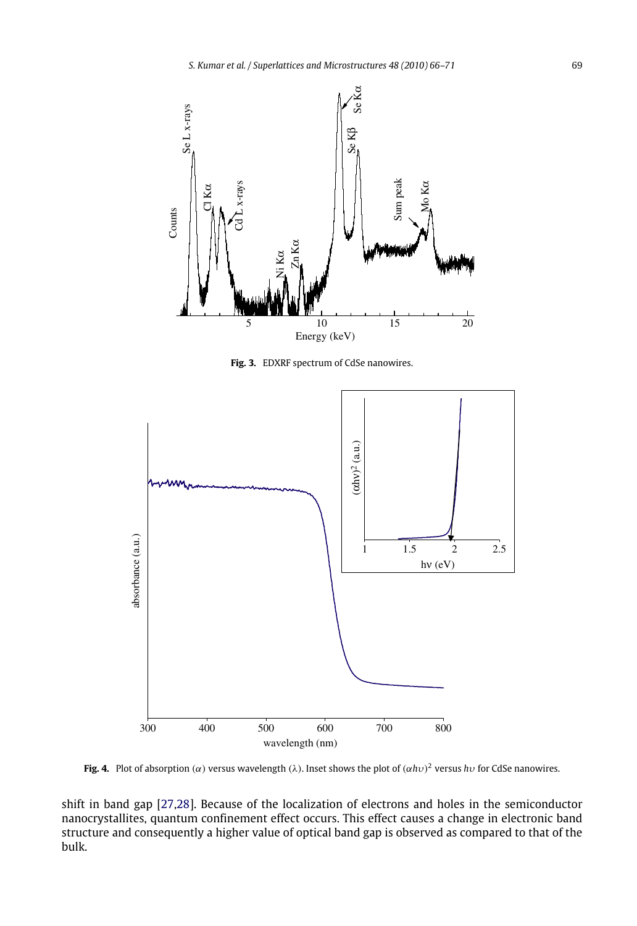<span id="page-3-0"></span>

Fig. 3. EDXRF spectrum of CdSe nanowires.

<span id="page-3-1"></span>

**Fig. 4.** Plot of absorption ( $\alpha$ ) versus wavelength ( $\lambda$ ). Inset shows the plot of ( $\alpha h \nu$ )<sup>2</sup> versus  $h \nu$  for CdSe nanowires.

shift in band gap [\[27,](#page-5-10)[28\]](#page-5-11). Because of the localization of electrons and holes in the semiconductor nanocrystallites, quantum confinement effect occurs. This effect causes a change in electronic band structure and consequently a higher value of optical band gap is observed as compared to that of the bulk.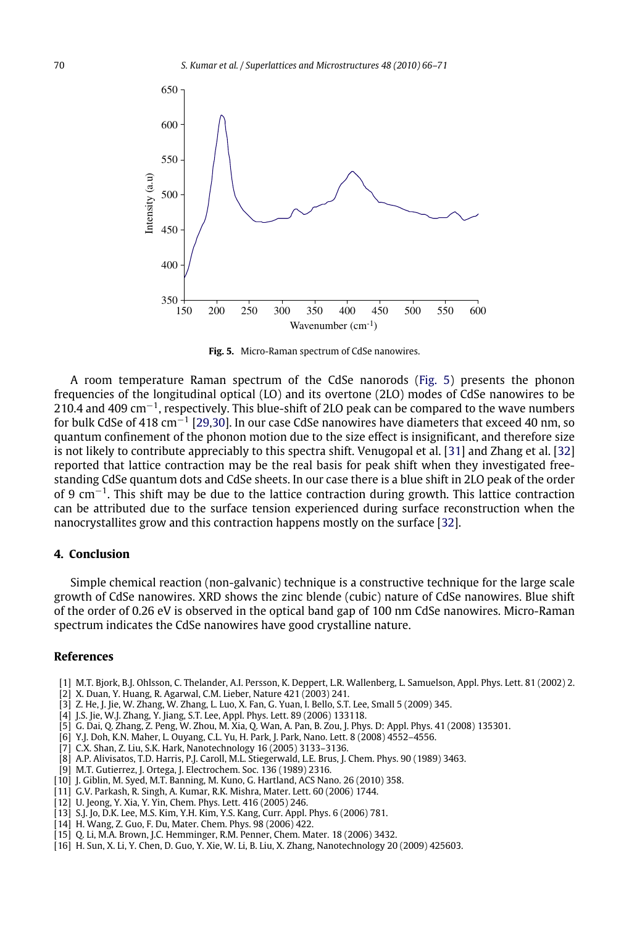<span id="page-4-9"></span>

**Fig. 5.** Micro-Raman spectrum of CdSe nanowires.

A room temperature Raman spectrum of the CdSe nanorods [\(Fig. 5\)](#page-4-9) presents the phonon frequencies of the longitudinal optical (LO) and its overtone (2LO) modes of CdSe nanowires to be 210.4 and 409 cm−<sup>1</sup> , respectively. This blue-shift of 2LO peak can be compared to the wave numbers for bulk CdSe of 418 cm<sup>−1</sup> [\[29,](#page-5-12)[30\]](#page-5-13). In our case CdSe nanowires have diameters that exceed 40 nm, so quantum confinement of the phonon motion due to the size effect is insignificant, and therefore size is not likely to contribute appreciably to this spectra shift. Venugopal et al. [\[31\]](#page-5-14) and Zhang et al. [\[32\]](#page-5-15) reported that lattice contraction may be the real basis for peak shift when they investigated freestanding CdSe quantum dots and CdSe sheets. In our case there is a blue shift in 2LO peak of the order of 9 cm<sup>-1</sup>. This shift may be due to the lattice contraction during growth. This lattice contraction can be attributed due to the surface tension experienced during surface reconstruction when the nanocrystallites grow and this contraction happens mostly on the surface [\[32\]](#page-5-15).

#### **4. Conclusion**

Simple chemical reaction (non-galvanic) technique is a constructive technique for the large scale growth of CdSe nanowires. XRD shows the zinc blende (cubic) nature of CdSe nanowires. Blue shift of the order of 0.26 eV is observed in the optical band gap of 100 nm CdSe nanowires. Micro-Raman spectrum indicates the CdSe nanowires have good crystalline nature.

#### **References**

- <span id="page-4-0"></span>[1] M.T. Bjork, B.J. Ohlsson, C. Thelander, A.I. Persson, K. Deppert, L.R. Wallenberg, L. Samuelson, Appl. Phys. Lett. 81 (2002) 2.
- <span id="page-4-1"></span>[2] X. Duan, Y. Huang, R. Agarwal, C.M. Lieber, Nature 421 (2003) 241.
- <span id="page-4-2"></span>[3] Z. He, J. Jie, W. Zhang, W. Zhang, L. Luo, X. Fan, G. Yuan, I. Bello, S.T. Lee, Small 5 (2009) 345.
- [4] J.S. Jie, W.J. Zhang, Y. Jiang, S.T. Lee, Appl. Phys. Lett. 89 (2006) 133118.
- [5] G. Dai, Q. Zhang, Z. Peng, W. Zhou, M. Xia, Q. Wan, A. Pan, B. Zou, J. Phys. D: Appl. Phys. 41 (2008) 135301.
- [6] Y.J. Doh, K.N. Maher, L. Ouyang, C.L. Yu, H. Park, J. Park, Nano. Lett. 8 (2008) 4552–4556.
- [7] C.X. Shan, Z. Liu, S.K. Hark, Nanotechnology 16 (2005) 3133–3136.
- <span id="page-4-3"></span>[8] A.P. Alivisatos, T.D. Harris, P.J. Caroll, M.L. Stiegerwald, L.E. Brus, J. Chem. Phys. 90 (1989) 3463.
- [9] M.T. Gutierrez, J. Ortega, J. Electrochem. Soc. 136 (1989) 2316.
- [10] J. Giblin, M. Syed, M.T. Banning, M. Kuno, G. Hartland, ACS Nano. 26 (2010) 358.
- [11] G.V. Parkash, R. Singh, A. Kumar, R.K. Mishra, Mater. Lett. 60 (2006) 1744.
- <span id="page-4-4"></span>[12] U. Jeong, Y. Xia, Y. Yin, Chem. Phys. Lett. 416 (2005) 246.
- <span id="page-4-5"></span>[13] S.J. Jo, D.K. Lee, M.S. Kim, Y.H. Kim, Y.S. Kang, Curr. Appl. Phys. 6 (2006) 781.
- <span id="page-4-6"></span>[14] H. Wang, Z. Guo, F. Du, Mater. Chem. Phys. 98 (2006) 422.
- <span id="page-4-7"></span>[15] Q. Li, M.A. Brown, J.C. Hemminger, R.M. Penner, Chem. Mater. 18 (2006) 3432.
- <span id="page-4-8"></span>[16] H. Sun, X. Li, Y. Chen, D. Guo, Y. Xie, W. Li, B. Liu, X. Zhang, Nanotechnology 20 (2009) 425603.